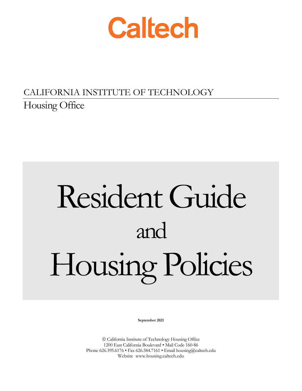

# CALIFORNIA INSTITUTE OF TECHNOLOGY Housing Office

# Resident Guide and Housing Policies

**September 2021**

 California Institute of Technology Housing Office 1200 East California Boulevard • Mail Code 160-86 Phone 626.395.6176 • Fax 626.584.7161 • Email housing@caltech.edu Website www.housing.caltech.edu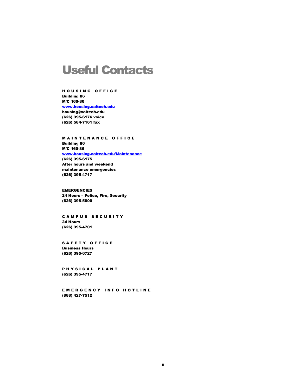# Useful Contacts

HOUSING OFFICE Building 86 M/C 160-86 [www.housing.caltech.edu](http://www.housing.caltech.edu/) housing@caltech.edu (626) 395-6176 voice (626) 584-7161 fax

MAINTENANCE OFFICE Building 86 M/C 160-86 [www.housing.caltech.edu/Maintenance](http://www.housing.caltech.edu/Maintenance) (626) 395-6175 After hours and weekend maintenance emergencies (626) 395-4717

EMERGENCIES 24 Hours – Police, Fire, Security (626) 395-5000

CAMPUS SECURITY 24 Hours (626) 395-4701

SAFETY OFFICE Business Hours (626) 395-6727

PHYSICAL PLANT (626) 395-4717

EMERGENCY INFO HOTLINE (888) 427-7512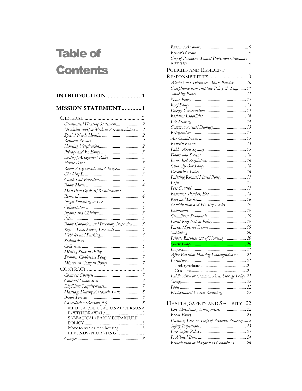# Table of **Contents**

| INTRODUCTION1 |  |
|---------------|--|
|               |  |

| <b>MISSION STATEMENT1</b>                   |
|---------------------------------------------|
|                                             |
|                                             |
| Disability and/ or Medical Accommodation  2 |
|                                             |
|                                             |
|                                             |
|                                             |
|                                             |
|                                             |
| Room Assignments and Changes 3              |
|                                             |
|                                             |
|                                             |
| Meal Plan Options/Requirements  4           |
|                                             |
|                                             |
|                                             |
|                                             |
|                                             |
| Room Condition and Inventory Inspection  5  |
|                                             |
|                                             |
|                                             |
|                                             |
|                                             |
|                                             |
|                                             |
|                                             |
|                                             |
|                                             |
|                                             |
| Marriage During Academic Year 8             |
|                                             |
|                                             |
| MEDICAL/EDUCATIONAL/PERSONA                 |
| SABBATICAL/EARLY DEPARTURE                  |
|                                             |
|                                             |
|                                             |
|                                             |

| City of Pasadena Tenant Protection Ordinance |
|----------------------------------------------|
|                                              |
| POLICIES AND RESIDENT                        |
|                                              |
| Alcohol and Substance Abuse Policies 10      |
| Compliance with Institute Policy & Staff 11  |
|                                              |
|                                              |
|                                              |
|                                              |
|                                              |
|                                              |
| Common Areas/Damage 15                       |
|                                              |
|                                              |
|                                              |
|                                              |
|                                              |
|                                              |
|                                              |
|                                              |
| Painting Rooms/Mural Policy  17              |
|                                              |
|                                              |
|                                              |
|                                              |
| Combination and Pin Key Locks  19            |
|                                              |
|                                              |
| Event Registration Policy  19                |
|                                              |
|                                              |
| Private Business out of Housing 20           |
|                                              |
|                                              |
| After Rotation Housing-Undergraduates 21     |
|                                              |
|                                              |
|                                              |
| Public Area or Common Area Storage Policy 21 |
|                                              |
|                                              |
| Photography / Visual Recordings 22           |
|                                              |
| HEALTH, SAFETY AND SECURITY . 22             |
| Life Threatening Emergencies 22              |
|                                              |
| Damage, Loss or Theft of Personal Property 2 |
|                                              |
|                                              |
|                                              |
| Remediation of Hazardous Conditions 26       |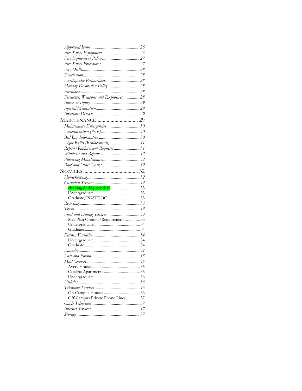| Holiday Decoration Policy 28         |  |
|--------------------------------------|--|
|                                      |  |
| Firearms, Weapons and Explosives  28 |  |
|                                      |  |
|                                      |  |
|                                      |  |
| <b>MAINTENANCE 29</b>                |  |
|                                      |  |
| Maintenance Emergencies 30           |  |
|                                      |  |
|                                      |  |
| Light Bulbs (Replacements) 31        |  |
| Repair/Replacement Requests 31       |  |
|                                      |  |
|                                      |  |
|                                      |  |
|                                      |  |
|                                      |  |
|                                      |  |
|                                      |  |
|                                      |  |
|                                      |  |
|                                      |  |
|                                      |  |
|                                      |  |
|                                      |  |
| Food and Dining Services 33          |  |
| MealPlan Options/Requirements  33    |  |
|                                      |  |
|                                      |  |
|                                      |  |
|                                      |  |
|                                      |  |
|                                      |  |
|                                      |  |
|                                      |  |
|                                      |  |
|                                      |  |
|                                      |  |
|                                      |  |
|                                      |  |
| Off-Campus Private Phone Lines 37    |  |
|                                      |  |
|                                      |  |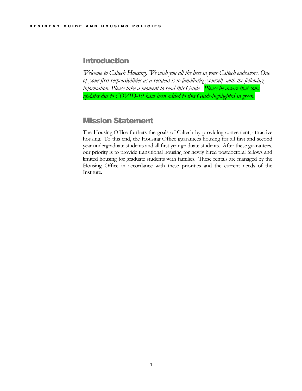# <span id="page-4-0"></span>**Introduction**

*Welcome to Caltech Housing. We wish you all the best in your Caltech endeavors. One of your first responsibilities as a resident is to familiarize yourself with the following information. Please take a moment to read this Guide. Please be aware that some updates due to COVID-19 have been added to this Guide-highlighted in green.*

# <span id="page-4-1"></span>Mission Statement

The Housing Office furthers the goals of Caltech by providing convenient, attractive housing. To this end, the Housing Office guarantees housing for all first and second year undergraduate students and all first year graduate students. After these guarantees, our priority is to provide transitional housing for newly hired postdoctoral fellows and limited housing for graduate students with families. These rentals are managed by the Housing Office in accordance with these priorities and the current needs of the Institute.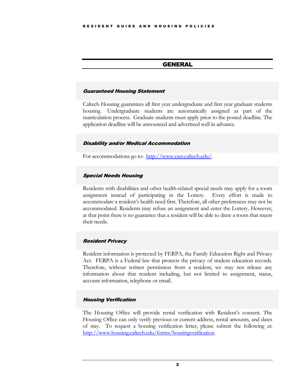# GENERAL

#### <span id="page-5-1"></span><span id="page-5-0"></span>Guaranteed Housing Statement

Caltech Housing guarantees all first year undergraduate and first year graduate students housing. Undergraduate students are automatically assigned as part of the matriculation process. Graduate students must apply prior to the posted deadline. The application deadline will be announced and advertised well in advance.

# <span id="page-5-2"></span>Disability and/or Medical Accommodation

For accommodations go to: [http://www.cass.caltech.edu/.](http://www.cass.caltech.edu/)

#### <span id="page-5-3"></span>Special Needs Housing

Residents with disabilities and other health-related special needs may apply for a room assignment instead of participating in the Lottery. Every effort is made to accommodate a resident's health need first. Therefore, all other preferences may not be accommodated. Residents may refuse an assignment and enter the Lottery. However, at that point there is no guarantee that a resident will be able to draw a room that meets their needs.

# <span id="page-5-4"></span>Resident Privacy

Resident information is protected by FERPA, the Family Education Right and Privacy Act. FERPA is a Federal law that protects the privacy of student education records. Therefore, without written permission from a resident, we may not release any information about that resident including, but not limited to assignment, status, account information, telephone or email.

# <span id="page-5-5"></span>Housing Verification

The Housing Office will provide rental verification with Resident's consent. The Housing Office can only verify previous or current address, rental amounts, and dates of stay. To request a housing verification letter, please submit the following at: [http://www.housing.caltech.edu/forms/housingverification.](http://www.housing.caltech.edu/forms/housingverification)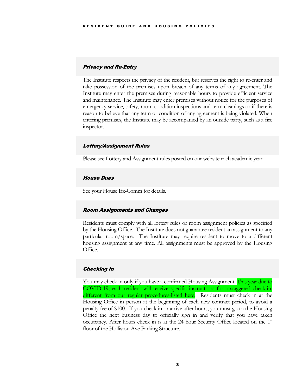# <span id="page-6-0"></span>Privacy and Re-Entry

The Institute respects the privacy of the resident, but reserves the right to re-enter and take possession of the premises upon breach of any terms of any agreement. The Institute may enter the premises during reasonable hours to provide efficient service and maintenance. The Institute may enter premises without notice for the purposes of emergency service, safety, room condition inspections and term cleanings or if there is reason to believe that any term or condition of any agreement is being violated. When entering premises, the Institute may be accompanied by an outside party, such as a fire inspector.

# <span id="page-6-1"></span>Lottery/Assignment Rules

Please see Lottery and Assignment rules posted on our website each academic year.

#### <span id="page-6-2"></span>House Dues

See your House Ex-Comm for details.

#### <span id="page-6-3"></span>Room Assignments and Changes

Residents must comply with all lottery rules or room assignment policies as specified by the Housing Office. The Institute does not guarantee resident an assignment to any particular room/space. The Institute may require resident to move to a different housing assignment at any time. All assignments must be approved by the Housing Office.

# <span id="page-6-4"></span>Checking In

You may check in only if you have a confirmed Housing Assignment. This year due to COVID-19, each resident will receive specific instructions for a staggered check-in, different from our regular procedures-listed here: Residents must check in at the Housing Office in person at the beginning of each new contract period, to avoid a penalty fee of \$100. If you check in or arrive after hours, you must go to the Housing Office the next business day to officially sign in and verify that you have taken occupancy. After hours check in is at the 24 hour Security Office located on the  $1<sup>st</sup>$ floor of the Holliston Ave Parking Structure.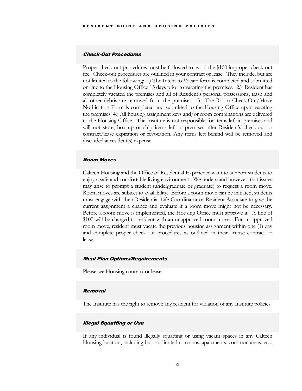#### <span id="page-7-0"></span>Check-Out Procedures

Proper check-out procedures must be followed to avoid the \$100 improper check-out fee. Check-out procedures are outlined in your contract or lease. They include, but are not limited to the following: 1.) The Intent to Vacate form is completed and submitted on-line to the Housing Office 15 days prior to vacating the premises. 2.) Resident has completely vacated the premises and all of Resident's personal possessions, trash and all other debris are removed from the premises. 3.) The Room Check-Out/Move Notification Form is completed and submitted to the Housing Office upon vacating the premises. 4.) All housing assignment keys and/or room combinations are delivered to the Housing Office. The Institute is not responsible for items left in premises and will not store, box up or ship items left in premises after Resident's check-out or contract/lease expiration or revocation. Any items left behind will be removed and discarded at resident(s) expense.

#### <span id="page-7-1"></span>Room Moves

Caltech Housing and the Office of Residential Experience want to support students to enjoy a safe and comfortable living environment. We understand however, that issues may arise to prompt a student (undergraduate or graduate) to request a room move. Room moves are subject to availability. Before a room move can be initiated, students must engage with their Residential Life Coordinator or Resident Associate to give the current assignment a chance and evaluate if a room move might not be necessary. Before a room move is implemented, the Housing Office must approve it. A fine of \$100 will be charged to resident with an unapproved room move. For an approved room move, resident must vacate the previous housing assignment within one (1) day and complete proper check-out procedures as outlined in their license contract or lease.

#### <span id="page-7-2"></span>Meal Plan Options/Requirements

Please see Housing contract or lease.

#### <span id="page-7-3"></span>**Removal**

The Institute has the right to remove any resident for violation of any Institute policies.

#### <span id="page-7-4"></span>Illegal Squatting or Use

If any individual is found illegally squatting or using vacant spaces in any Caltech Housing location, including but not limited to rooms, apartments, common areas, etc.,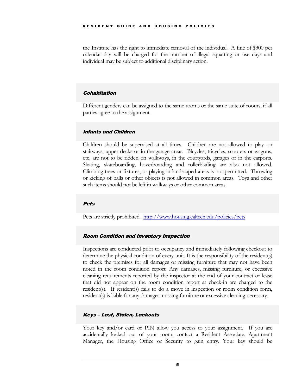the Institute has the right to immediate removal of the individual. A fine of \$300 per calendar day will be charged for the number of illegal squatting or use days and individual may be subject to additional disciplinary action.

#### <span id="page-8-0"></span>**Cohabitation**

Different genders can be assigned to the same rooms or the same suite of rooms, if all parties agree to the assignment.

#### <span id="page-8-1"></span>Infants and Children

Children should be supervised at all times. Children are not allowed to play on stairways, upper decks or in the garage areas. Bicycles, tricycles, scooters or wagons, etc. are not to be ridden on walkways, in the courtyards, garages or in the carports. Skating, skateboarding, hoverboarding and rollerblading are also not allowed. Climbing trees or fixtures, or playing in landscaped areas is not permitted. Throwing or kicking of balls or other objects is not allowed in common areas. Toys and other such items should not be left in walkways or other common areas.

# <span id="page-8-2"></span>Pets

Pets are strictly prohibited.<http://www.housing.caltech.edu/policies/pets>

# <span id="page-8-3"></span>Room Condition and Inventory Inspection

Inspections are conducted prior to occupancy and immediately following checkout to determine the physical condition of every unit. It is the responsibility of the resident(s) to check the premises for all damages or missing furniture that may not have been noted in the room condition report. Any damages, missing furniture, or excessive cleaning requirements reported by the inspector at the end of your contract or lease that did not appear on the room condition report at check-in are charged to the resident(s). If resident(s) fails to do a move in inspection or room condition form, resident(s) is liable for any damages, missing furniture or excessive cleaning necessary.

# <span id="page-8-4"></span>Keys – Lost, Stolen, Lockouts

Your key and/or card or PIN allow you access to your assignment. If you are accidentally locked out of your room, contact a Resident Associate, Apartment Manager, the Housing Office or Security to gain entry. Your key should be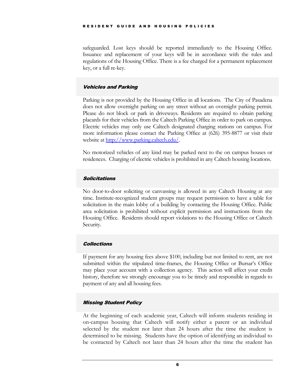safeguarded. Lost keys should be reported immediately to the Housing Office. Issuance and replacement of your keys will be in accordance with the rules and regulations of the Housing Office. There is a fee charged for a permanent replacement key, or a full re-key.

# <span id="page-9-0"></span>Vehicles and Parking

Parking is not provided by the Housing Office in all locations. The City of Pasadena does not allow overnight parking on any street without an overnight parking permit. Please do not block or park in driveways. Residents are required to obtain parking placards for their vehicles from the Caltech Parking Office in order to park on campus. Electric vehicles may only use Caltech designated charging stations on campus. For more information please contact the Parking Office at (626) 395-8877 or visit their website at <u>http://www.parking.caltech.edu/</u>.

No motorized vehicles of any kind may be parked next to the on campus houses or residences. Charging of electric vehicles is prohibited in any Caltech housing locations.

# <span id="page-9-1"></span>Solicitations

No door-to-door soliciting or canvassing is allowed in any Caltech Housing at any time. Institute-recognized student groups may request permission to have a table for solicitation in the main lobby of a building by contacting the Housing Office. Public area solicitation is prohibited without explicit permission and instructions from the Housing Office. Residents should report violations to the Housing Office or Caltech Security.

# <span id="page-9-2"></span>**Collections**

If payment for any housing fees above \$100, including but not limited to rent, are not submitted within the stipulated time-frames, the Housing Office or Bursar's Office may place your account with a collection agency. This action will affect your credit history, therefore we strongly encourage you to be timely and responsible in regards to payment of any and all housing fees.

# <span id="page-9-3"></span>Missing Student Policy

At the beginning of each academic year, Caltech will inform students residing in on-campus housing that Caltech will notify either a parent or an individual selected by the student not later than 24 hours after the time the student is determined to be missing. Students have the option of identifying an individual to be contacted by Caltech not later than 24 hours after the time the student has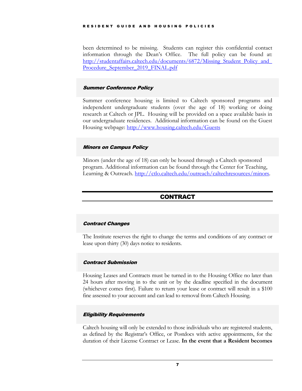#### RESIDENT GUIDE AND H OUSING POLICIES

been determined to be missing. Students can register this confidential contact information through the Dean's Office. The full policy can be found at: http://studentaffairs.caltech.edu/documents/6872/Missing\_Student\_Policy\_and Procedure September 2019 FINAL.pdf

# <span id="page-10-0"></span>Summer Conference Policy

Summer conference housing is limited to Caltech sponsored programs and independent undergraduate students (over the age of 18) working or doing research at Caltech or JPL. Housing will be provided on a space available basis in our undergraduate residences. Additional information can be found on the Guest Housing webpage:<http://www.housing.caltech.edu/Guests>

# <span id="page-10-1"></span>Minors on Campus Policy

Minors (under the age of 18) can only be housed through a Caltech sponsored program. Additional information can be found through the Center for Teaching, Learning & Outreach. [http://ctlo.caltech.edu/outreach/caltechresources/minors.](http://ctlo.caltech.edu/outreach/caltechresources/minors)

# CONTRACT

# <span id="page-10-3"></span><span id="page-10-2"></span>Contract Changes

The Institute reserves the right to change the terms and conditions of any contract or lease upon thirty (30) days notice to residents.

# <span id="page-10-4"></span>Contract Submission

Housing Leases and Contracts must be turned in to the Housing Office no later than 24 hours after moving in to the unit or by the deadline specified in the document (whichever comes first). Failure to return your lease or contract will result in a \$100 fine assessed to your account and can lead to removal from Caltech Housing.

# <span id="page-10-5"></span>Eligibility Requirements

Caltech housing will only be extended to those individuals who are registered students, as defined by the Registrar's Office, or Postdocs with active appointments, for the duration of their License Contract or Lease. **In the event that a Resident becomes**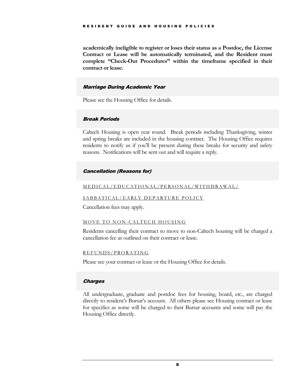**academically ineligible to register or loses their status as a Postdoc, the License Contract or Lease will be automatically terminated, and the Resident must complete "Check-Out Procedures" within the timeframe specified in their contract or lease.**

#### <span id="page-11-0"></span>Marriage During Academic Year

Please see the Housing Office for details.

# <span id="page-11-1"></span>Break Periods

Caltech Housing is open year round. Break periods including Thanksgiving, winter and spring breaks are included in the housing contract. The Housing Office requires residents to notify us if you'll be present during these breaks for security and safety reasons. Notifications will be sent out and will require a reply.

# <span id="page-11-2"></span>Cancellation (Reasons for)

#### <span id="page-11-3"></span>MEDICAL/EDUCATIONAL/ PERSONAL/WITHDRAWAL /

# <span id="page-11-4"></span>SABBATICAL/EARLY DEPARTURE POLICY

Cancellation fees may apply.

#### <span id="page-11-5"></span>MOVE TO NON-CALTECH HOUSING

Residents cancelling their contract to move to non-Caltech housing will be charged a cancellation fee as outlined on their contract or lease.

#### <span id="page-11-6"></span>REFUNDS/PRORATING

Please see your contract or lease or the Housing Office for details.

#### <span id="page-11-7"></span>**Charges**

All undergraduate, graduate and postdoc fees for housing, board, etc., are charged directly to resident's Bursar's account. All others please see Housing contract or lease for specifics as some will be charged to their Bursar accounts and some will pay the Housing Office directly.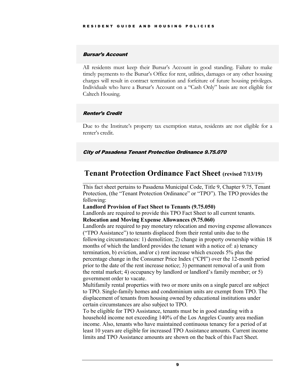# <span id="page-12-0"></span>Bursar's Account

All residents must keep their Bursar's Account in good standing. Failure to make timely payments to the Bursar's Office for rent, utilities, damages or any other housing charges will result in contract termination and forfeiture of future housing privileges. Individuals who have a Bursar's Account on a "Cash Only" basis are not eligible for Caltech Housing.

# <span id="page-12-1"></span>Renter's Credit

Due to the Institute's property tax exemption status, residents are not eligible for a renter's credit.

# <span id="page-12-2"></span>City of Pasadena Tenant Protection Ordinance 9.75.070

# **Tenant Protection Ordinance Fact Sheet (revised 7/13/19)**   $\mathcal{L}_\text{max}$  , and the contract of the contract of the contract of the contract of the contract of the contract of

This fact sheet pertains to Pasadena Municipal Code, Title 9, Chapter 9.75, Tenant Protection, (the "Tenant Protection Ordinance" or "TPO"). The TPO provides the following:

**Landlord Provision of Fact Sheet to Tenants (9.75.050)** 

Landlords are required to provide this TPO Fact Sheet to all current tenants.

# **Relocation and Moving Expense Allowances (9.75.060)**

Landlords are required to pay monetary relocation and moving expense allowances ("TPO Assistance") to tenants displaced from their rental units due to the following circumstances: 1) demolition; 2) change in property ownership within 18 months of which the landlord provides the tenant with a notice of: a) tenancy termination, b) eviction, and/or c) rent increase which exceeds 5% plus the percentage change in the Consumer Price Index ("CPI") over the 12-month period prior to the date of the rent increase notice; 3) permanent removal of a unit from the rental market; 4) occupancy by landlord or landlord's family member; or 5) government order to vacate.

Multifamily rental properties with two or more units on a single parcel are subject to TPO. Single-family homes and condominium units are exempt from TPO. The displacement of tenants from housing owned by educational institutions under certain circumstances are also subject to TPO.

To be eligible for TPO Assistance, tenants must be in good standing with a household income not exceeding 140% of the Los Angeles County area median income. Also, tenants who have maintained continuous tenancy for a period of at least 10 years are eligible for increased TPO Assistance amounts. Current income limits and TPO Assistance amounts are shown on the back of this Fact Sheet.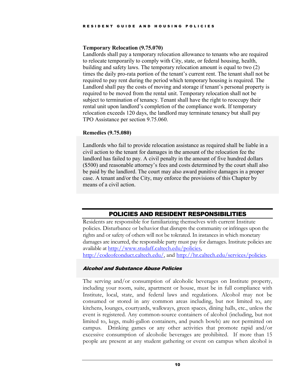#### **Temporary Relocation (9.75.070)**

Landlords shall pay a temporary relocation allowance to tenants who are required to relocate temporarily to comply with City, state, or federal housing, health, building and safety laws. The temporary relocation amount is equal to two (2) times the daily pro-rata portion of the tenant's current rent. The tenant shall not be required to pay rent during the period which temporary housing is required. The Landlord shall pay the costs of moving and storage if tenant's personal property is required to be moved from the rental unit. Temporary relocation shall not be subject to termination of tenancy. Tenant shall have the right to reoccupy their rental unit upon landlord's completion of the compliance work. If temporary relocation exceeds 120 days, the landlord may terminate tenancy but shall pay TPO Assistance per section 9.75.060.

# **Remedies (9.75.080)**

Landlords who fail to provide relocation assistance as required shall be liable in a civil action to the tenant for damages in the amount of the relocation fee the landlord has failed to pay. A civil penalty in the amount of five hundred dollars (\$500) and reasonable attorney's fees and costs determined by the court shall also be paid by the landlord. The court may also award punitive damages in a proper case. A tenant and/or the City, may enforce the provisions of this Chapter by means of a civil action.

# POLICIES AND RESIDENT RESPONSIBILITIES

<span id="page-13-0"></span>Residents are responsible for familiarizing themselves with current Institute policies. Disturbance or behavior that disrupts the community or infringes upon the rights and or safety of others will not be tolerated. In instances in which monetary damages are incurred, the responsible party must pay for damages. Institute policies are available a[t http://www.studaff.caltech.edu/policies,](http://www.studaff.caltech.edu/policies)

<span id="page-13-1"></span>[http://codeofconduct.caltech.edu/,](http://codeofconduct.caltech.edu/) and [http://hr.caltech.edu/services/policies.](http://hr.caltech.edu/services/policies)

# Alcohol and Substance Abuse Policies

The serving and/or consumption of alcoholic beverages on Institute property, including your room, suite, apartment or house, must be in full compliance with Institute, local, state, and federal laws and regulations. Alcohol may not be consumed or stored in any common areas including, but not limited to, any kitchens, lounges, courtyards, walkways, green spaces, dining halls, etc., unless the event is registered. Any common-source containers of alcohol (including, but not limited to, kegs, multi-gallon containers, and punch bowls) are not permitted on campus. Drinking games or any other activities that promote rapid and/or excessive consumption of alcoholic beverages are prohibited. If more than 15 people are present at any student gathering or event on campus when alcohol is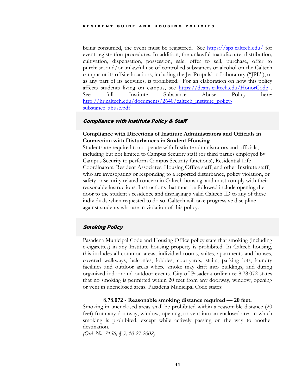being consumed, the event must be registered. See<https://spa.caltech.edu/> for event registration procedures. In addition, the unlawful manufacture, distribution, cultivation, dispensation, possession, sale, offer to sell, purchase, offer to purchase, and/or unlawful use of controlled substances or alcohol on the Caltech campus or its offsite locations, including the Jet Propulsion Laboratory ("JPL"), or as any part of its activities, is prohibited. For an elaboration on how this policy affects students living on campus, see <https://deans.caltech.edu/HonorCode> . See full Institute Substance Abuse Policy here: [http://hr.caltech.edu/documents/2640/caltech\\_institute\\_policy](http://hr.caltech.edu/documents/2640/caltech_institute_policy-substance_abuse.pdf)[substance\\_abuse.pdf](http://hr.caltech.edu/documents/2640/caltech_institute_policy-substance_abuse.pdf)

# <span id="page-14-0"></span>Compliance with Institute Policy & Staff

# **Compliance with Directions of Institute Administrators and Officials in Connection with Disturbances in Student Housing**

Students are required to cooperate with Institute administrators and officials, including but not limited to Campus Security staff (or third parties employed by Campus Security to perform Campus Security functions), Residential Life Coordinators, Resident Associates, Housing Office staff, and other Institute staff, who are investigating or responding to a reported disturbance, policy violation, or safety or security related concern in Caltech housing, and must comply with their reasonable instructions. Instructions that must be followed include opening the door to the student's residence and displaying a valid Caltech ID to any of these individuals when requested to do so. Caltech will take progressive discipline against students who are in violation of this policy.

# <span id="page-14-1"></span>Smoking Policy

Pasadena Municipal Code and Housing Office policy state that smoking (including e-cigarettes) in any Institute housing property is prohibited. In Caltech housing, this includes all common areas, individual rooms, suites, apartments and houses, covered walkways, balconies, lobbies, courtyards, stairs, parking lots, laundry facilities and outdoor areas where smoke may drift into buildings, and during organized indoor and outdoor events. City of Pasadena ordinance 8.78.072 states that no smoking is permitted within 20 feet from any doorway, window, opening or vent in unenclosed areas. Pasadena Municipal Code states:

#### **8.78.072 - Reasonable smoking distance required — 20 feet.**

Smoking in unenclosed areas shall be prohibited within a reasonable distance (20 feet) from any doorway, window, opening, or vent into an enclosed area in which smoking is prohibited, except while actively passing on the way to another destination.

*(Ord. No. 7156, § 3, 10-27-2008)*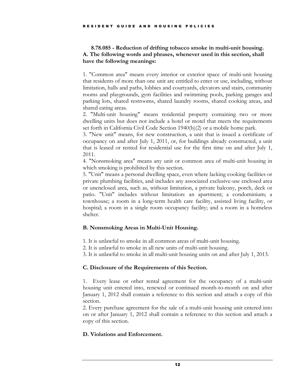# **8.78.085 - Reduction of drifting tobacco smoke in multi-unit housing. A. The following words and phrases, whenever used in this section, shall have the following meanings:**

1. "Common area" means every interior or exterior space of multi-unit housing that residents of more than one unit are entitled to enter or use, including, without limitation, halls and paths, lobbies and courtyards, elevators and stairs, community rooms and playgrounds, gym facilities and swimming pools, parking garages and parking lots, shared restrooms, shared laundry rooms, shared cooking areas, and shared eating areas.

2. "Multi-unit housing" means residential property containing two or more dwelling units but does not include a hotel or motel that meets the requirements set forth in California Civil Code Section 1940(b)(2) or a mobile home park.

3. "New unit" means, for new construction, a unit that is issued a certificate of occupancy on and after July 1, 2011, or, for buildings already constructed, a unit that is leased or rented for residential use for the first time on and after July 1, 2011.

4. "Nonsmoking area" means any unit or common area of multi-unit housing in which smoking is prohibited by this section.

5. "Unit" means a personal dwelling space, even where lacking cooking facilities or private plumbing facilities, and includes any associated exclusive-use enclosed area or unenclosed area, such as, without limitation, a private balcony, porch, deck or patio. "Unit" includes without limitation: an apartment; a condominium; a townhouse; a room in a long-term health care facility, assisted living facility, or hospital; a room in a single room occupancy facility; and a room in a homeless shelter.

# **B. Nonsmoking Areas in Multi-Unit Housing.**

- 1. It is unlawful to smoke in all common areas of multi-unit housing.
- 2. It is unlawful to smoke in all new units of multi-unit housing.
- 3. It is unlawful to smoke in all multi-unit housing units on and after July 1, 2013.

# **C. Disclosure of the Requirements of this Section.**

1. Every lease or other rental agreement for the occupancy of a multi-unit housing unit entered into, renewed or continued month-to-month on and after January 1, 2012 shall contain a reference to this section and attach a copy of this section.

2. Every purchase agreement for the sale of a multi-unit housing unit entered into on or after January 1, 2012 shall contain a reference to this section and attach a copy of this section.

# **D. Violations and Enforcement.**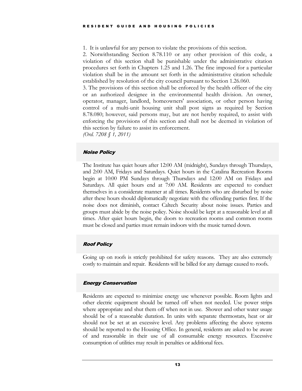1. It is unlawful for any person to violate the provisions of this section.

2. Notwithstanding Section 8.78.110 or any other provision of this code, a violation of this section shall be punishable under the administrative citation procedures set forth in Chapters 1.25 and 1.26. The fine imposed for a particular violation shall be in the amount set forth in the administrative citation schedule established by resolution of the city council pursuant to Section 1.26.060.

3. The provisions of this section shall be enforced by the health officer of the city or an authorized designee in the environmental health division. An owner, operator, manager, landlord, homeowners' association, or other person having control of a multi-unit housing unit shall post signs as required by Section 8.78.080; however, said persons may, but are not hereby required, to assist with enforcing the provisions of this section and shall not be deemed in violation of this section by failure to assist its enforcement.

*(Ord. 7208 § 1, 2011)* 

# <span id="page-16-0"></span>Noise Policy

The Institute has quiet hours after 12:00 AM (midnight), Sundays through Thursdays, and 2:00 AM, Fridays and Saturdays. Quiet hours in the Catalina Recreation Rooms begin at 10:00 PM Sundays through Thursdays and 12:00 AM on Fridays and Saturdays. All quiet hours end at 7:00 AM. Residents are expected to conduct themselves in a considerate manner at all times. Residents who are disturbed by noise after these hours should diplomatically negotiate with the offending parties first. If the noise does not diminish, contact Caltech Security about noise issues. Parties and groups must abide by the noise policy. Noise should be kept at a reasonable level at all times. After quiet hours begin, the doors to recreation rooms and common rooms must be closed and parties must remain indoors with the music turned down.

# <span id="page-16-1"></span>Roof Policy

Going up on roofs is strictly prohibited for safety reasons. They are also extremely costly to maintain and repair. Residents will be billed for any damage caused to roofs.

# <span id="page-16-2"></span>Energy Conservation

Residents are expected to minimize energy use whenever possible. Room lights and other electric equipment should be turned off when not needed. Use power strips where appropriate and shut them off when not in use. Shower and other water usage should be of a reasonable duration. In units with separate thermostats, heat or air should not be set at an excessive level. Any problems affecting the above systems should be reported to the Housing Office. In general, residents are asked to be aware of and reasonable in their use of all consumable energy resources. Excessive consumption of utilities may result in penalties or additional fees.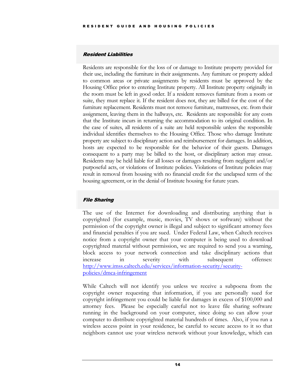# <span id="page-17-0"></span>Resident Liabilities

Residents are responsible for the loss of or damage to Institute property provided for their use, including the furniture in their assignments. Any furniture or property added to common areas or private assignments by residents must be approved by the Housing Office prior to entering Institute property. All Institute property originally in the room must be left in good order. If a resident removes furniture from a room or suite, they must replace it. If the resident does not, they are billed for the cost of the furniture replacement. Residents must not remove furniture, mattresses, etc. from their assignment, leaving them in the hallways, etc. Residents are responsible for any costs that the Institute incurs in returning the accommodation to its original condition. In the case of suites, all residents of a suite are held responsible unless the responsible individual identifies themselves to the Housing Office. Those who damage Institute property are subject to disciplinary action and reimbursement for damages. In addition, hosts are expected to be responsible for the behavior of their guests. Damages consequent to a party may be billed to the host, or disciplinary action may ensue. Residents may be held liable for all losses or damages resulting from negligent and/or purposeful acts, or violations of Institute policies. Violations of Institute policies may result in removal from housing with no financial credit for the unelapsed term of the housing agreement, or in the denial of Institute housing for future years.

# <span id="page-17-1"></span>File Sharing

The use of the Internet for downloading and distributing anything that is copyrighted (for example, music, movies, TV shows or software) without the permission of the copyright owner is illegal and subject to significant attorney fees and financial penalties if you are sued. Under Federal Law, when Caltech receives notice from a copyright owner that your computer is being used to download copyrighted material without permission, we are required to send you a warning, block access to your network connection and take disciplinary actions that increase in severity with subsequent offenses: [http://www.imss.caltech.edu/services/information-security/security](http://www.imss.caltech.edu/services/information-security/security-policies/dmca-infringement)[policies/dmca-infringement](http://www.imss.caltech.edu/services/information-security/security-policies/dmca-infringement)

While Caltech will not identify you unless we receive a subpoena from the copyright owner requesting that information, if you are personally sued for copyright infringement you could be liable for damages in excess of \$100,000 and attorney fees. Please be especially careful not to leave file sharing software running in the background on your computer, since doing so can allow your computer to distribute copyrighted material hundreds of times. Also, if you run a wireless access point in your residence, be careful to secure access to it so that neighbors cannot use your wireless network without your knowledge, which can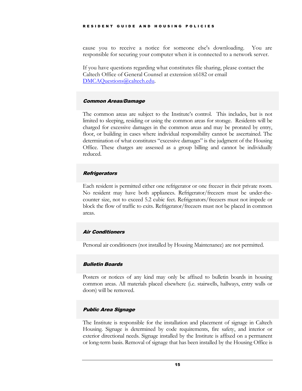cause you to receive a notice for someone else's downloading. You are responsible for securing your computer when it is connected to a network server.

If you have questions regarding what constitutes file sharing, please contact the Caltech Office of General Counsel at extension x6182 or email [DMCAQuestions@caltech.edu.](mailto:DMCAQuestions@caltech.edu)

#### <span id="page-18-0"></span>Common Areas/Damage

The common areas are subject to the Institute's control. This includes, but is not limited to sleeping, residing or using the common areas for storage. Residents will be charged for excessive damages in the common areas and may be prorated by entry, floor, or building in cases where individual responsibility cannot be ascertained. The determination of what constitutes "excessive damages" is the judgment of the Housing Office. These charges are assessed as a group billing and cannot be individually reduced.

# <span id="page-18-1"></span>**Refrigerators**

Each resident is permitted either one refrigerator or one freezer in their private room. No resident may have both appliances. Refrigerator/freezers must be under-thecounter size, not to exceed 5.2 cubic feet. Refrigerators/freezers must not impede or block the flow of traffic to exits. Refrigerator/freezers must not be placed in common areas.

#### <span id="page-18-2"></span>Air Conditioners

Personal air conditioners (not installed by Housing Maintenance) are not permitted.

#### <span id="page-18-3"></span>Bulletin Boards

Posters or notices of any kind may only be affixed to bulletin boards in housing common areas. All materials placed elsewhere (i.e. stairwells, hallways, entry walls or doors) will be removed.

# <span id="page-18-4"></span>Public Area Signage

The Institute is responsible for the installation and placement of signage in Caltech Housing. Signage is determined by code requirements, fire safety, and interior or exterior directional needs. Signage installed by the Institute is affixed on a permanent or long-term basis. Removal of signage that has been installed by the Housing Office is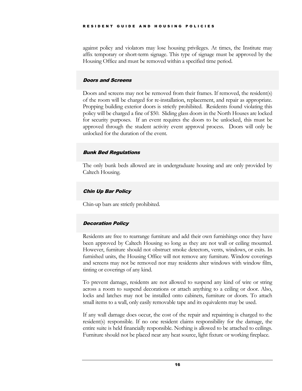against policy and violators may lose housing privileges. At times, the Institute may affix temporary or short-term signage. This type of signage must be approved by the Housing Office and must be removed within a specified time period.

# <span id="page-19-0"></span>Doors and Screens

Doors and screens may not be removed from their frames. If removed, the resident(s) of the room will be charged for re-installation, replacement, and repair as appropriate. Propping building exterior doors is strictly prohibited. Residents found violating this policy will be charged a fine of \$50. Sliding glass doors in the North Houses are locked for security purposes. If an event requires the doors to be unlocked, this must be approved through the student activity event approval process. Doors will only be unlocked for the duration of the event.

# <span id="page-19-1"></span>Bunk Bed Regulations

The only bunk beds allowed are in undergraduate housing and are only provided by Caltech Housing.

# <span id="page-19-2"></span>Chin Up Bar Policy

Chin-up bars are strictly prohibited.

# <span id="page-19-3"></span>Decoration Policy

Residents are free to rearrange furniture and add their own furnishings once they have been approved by Caltech Housing so long as they are not wall or ceiling mounted. However, furniture should not obstruct smoke detectors, vents, windows, or exits. In furnished units, the Housing Office will not remove any furniture. Window coverings and screens may not be removed nor may residents alter windows with window film, tinting or coverings of any kind.

To prevent damage, residents are not allowed to suspend any kind of wire or string across a room to suspend decorations or attach anything to a ceiling or door. Also, locks and latches may not be installed onto cabinets, furniture or doors. To attach small items to a wall, only easily removable tape and its equivalents may be used.

If any wall damage does occur, the cost of the repair and repainting is charged to the resident(s) responsible. If no one resident claims responsibility for the damage, the entire suite is held financially responsible. Nothing is allowed to be attached to ceilings. Furniture should not be placed near any heat source, light fixture or working fireplace.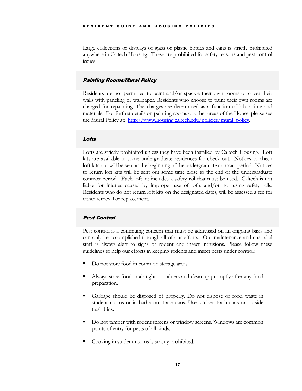Large collections or displays of glass or plastic bottles and cans is strictly prohibited anywhere in Caltech Housing. These are prohibited for safety reasons and pest control issues.

# <span id="page-20-0"></span>Painting Rooms/Mural Policy

Residents are not permitted to paint and/or spackle their own rooms or cover their walls with paneling or wallpaper. Residents who choose to paint their own rooms are charged for repainting. The charges are determined as a function of labor time and materials. For further details on painting rooms or other areas of the House, please see the Mural Policy at: [http://www.housing.caltech.edu/policies/mural\\_policy.](http://www.housing.caltech.edu/policies/mural_policy)

# <span id="page-20-1"></span>**Lofts**

Lofts are strictly prohibited unless they have been installed by Caltech Housing. Loft kits are available in some undergraduate residences for check out. Notices to check loft kits out will be sent at the beginning of the undergraduate contract period. Notices to return loft kits will be sent out some time close to the end of the undergraduate contract period. Each loft kit includes a safety rail that must be used. Caltech is not liable for injuries caused by improper use of lofts and/or not using safety rails. Residents who do not return loft kits on the designated dates, will be assessed a fee for either retrieval or replacement.

# <span id="page-20-2"></span>Pest Control

Pest control is a continuing concern that must be addressed on an ongoing basis and can only be accomplished through all of our efforts. Our maintenance and custodial staff is always alert to signs of rodent and insect intrusions. Please follow these guidelines to help our efforts in keeping rodents and insect pests under control:

- Do not store food in common storage areas.
- Always store food in air tight containers and clean up promptly after any food preparation.
- Garbage should be disposed of properly. Do not dispose of food waste in student rooms or in bathroom trash cans. Use kitchen trash cans or outside trash bins.
- Do not tamper with rodent screens or window screens. Windows are common points of entry for pests of all kinds.
- Cooking in student rooms is strictly prohibited.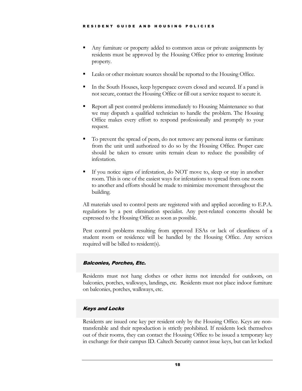- Any furniture or property added to common areas or private assignments by residents must be approved by the Housing Office prior to entering Institute property.
- Leaks or other moisture sources should be reported to the Housing Office.
- In the South Houses, keep hyperspace covers closed and secured. If a panel is not secure, contact the Housing Office or fill out a service request to secure it.
- Report all pest control problems immediately to Housing Maintenance so that we may dispatch a qualified technician to handle the problem. The Housing Office makes every effort to respond professionally and promptly to your request.
- To prevent the spread of pests, do not remove any personal items or furniture from the unit until authorized to do so by the Housing Office. Proper care should be taken to ensure units remain clean to reduce the possibility of infestation.
- If you notice signs of infestation, do NOT move to, sleep or stay in another room. This is one of the easiest ways for infestations to spread from one room to another and efforts should be made to minimize movement throughout the building.

All materials used to control pests are registered with and applied according to E.P.A. regulations by a pest elimination specialist. Any pest-related concerns should be expressed to the Housing Office as soon as possible.

Pest control problems resulting from approved ESAs or lack of cleanliness of a student room or residence will be handled by the Housing Office. Any services required will be billed to resident(s).

# <span id="page-21-0"></span>Balconies, Porches, Etc.

Residents must not hang clothes or other items not intended for outdoors, on balconies, porches, walkways, landings, etc. Residents must not place indoor furniture on balconies, porches, walkways, etc.

# <span id="page-21-1"></span>Keys and Locks

Residents are issued one key per resident only by the Housing Office. Keys are nontransferable and their reproduction is strictly prohibited. If residents lock themselves out of their rooms, they can contact the Housing Office to be issued a temporary key in exchange for their campus ID. Caltech Security cannot issue keys, but can let locked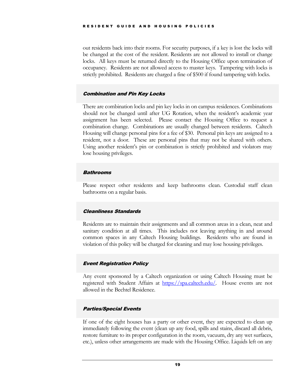out residents back into their rooms. For security purposes, if a key is lost the locks will be changed at the cost of the resident. Residents are not allowed to install or change locks. All keys must be returned directly to the Housing Office upon termination of occupancy. Residents are not allowed access to master keys. Tampering with locks is strictly prohibited. Residents are charged a fine of \$500 if found tampering with locks.

# <span id="page-22-0"></span>Combination and Pin Key Locks

There are combination locks and pin key locks in on campus residences. Combinations should not be changed until after UG Rotation, when the resident's academic year assignment has been selected. Please contact the Housing Office to request a combination change. Combinations are usually changed between residents. Caltech Housing will change personal pins for a fee of \$30. Personal pin keys are assigned to a resident, not a door. These are personal pins that may not be shared with others. Using another resident's pin or combination is strictly prohibited and violators may lose housing privileges.

#### <span id="page-22-1"></span>**Bathrooms**

Please respect other residents and keep bathrooms clean. Custodial staff clean bathrooms on a regular basis.

# <span id="page-22-2"></span>Cleanliness Standards

Residents are to maintain their assignments and all common areas in a clean, neat and sanitary condition at all times. This includes not leaving anything in and around common spaces in any Caltech Housing buildings. Residents who are found in violation of this policy will be charged for cleaning and may lose housing privileges.

# <span id="page-22-3"></span>Event Registration Policy

Any event sponsored by a Caltech organization or using Caltech Housing must be registered with Student Affairs at [https://spa.caltech.edu/.](https://spa.caltech.edu/) House events are not allowed in the Bechtel Residence.

# <span id="page-22-4"></span>Parties/Special Events

If one of the eight houses has a party or other event, they are expected to clean up immediately following the event (clean up any food, spills and stains, discard all debris, restore furniture to its proper configuration in the room, vacuum, dry any wet surfaces, etc.), unless other arrangements are made with the Housing Office. Liquids left on any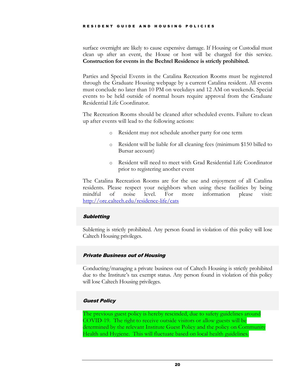surface overnight are likely to cause expensive damage. If Housing or Custodial must clean up after an event, the House or host will be charged for this service. **Construction for events in the Bechtel Residence is strictly prohibited.** 

Parties and Special Events in the Catalina Recreation Rooms must be registered through the Graduate Housing webpage by a current Catalina resident. All events must conclude no later than 10 PM on weekdays and 12 AM on weekends. Special events to be held outside of normal hours require approval from the Graduate Residential Life Coordinator.

The Recreation Rooms should be cleaned after scheduled events. Failure to clean up after events will lead to the following actions:

- o Resident may not schedule another party for one term
- o Resident will be liable for all cleaning fees (minimum \$150 billed to Bursar account)
- o Resident will need to meet with Grad Residential Life Coordinator prior to registering another event

The Catalina Recreation Rooms are for the use and enjoyment of all Catalina residents. Please respect your neighbors when using these facilities by being mindful of noise level. For more information please visit: <http://ore.caltech.edu/residence-life/cats>

# <span id="page-23-0"></span>**Subletting**

Subletting is strictly prohibited. Any person found in violation of this policy will lose Caltech Housing privileges.

# <span id="page-23-1"></span>Private Business out of Housing

Conducting/managing a private business out of Caltech Housing is strictly prohibited due to the Institute's tax exempt status. Any person found in violation of this policy will lose Caltech Housing privileges.

# <span id="page-23-2"></span>Guest Policy

The previous guest policy is hereby rescinded, due to safety guidelines around COVID-19. The right to receive outside visitors or allow guests will be determined by the relevant Institute Guest Policy and the policy on Community Health and Hygiene. This will fluctuate based on local health guidelines.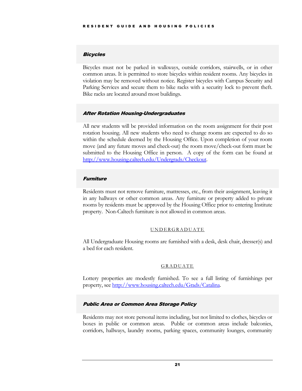# <span id="page-24-0"></span>Bicycles

Bicycles must not be parked in walkways, outside corridors, stairwells, or in other common areas. It is permitted to store bicycles within resident rooms. Any bicycles in violation may be removed without notice. Register bicycles with Campus Security and Parking Services and secure them to bike racks with a security lock to prevent theft. Bike racks are located around most buildings.

# <span id="page-24-1"></span>After Rotation Housing-Undergraduates

All new students will be provided information on the room assignment for their post rotation housing. All new students who need to change rooms are expected to do so within the schedule deemed by the Housing Office. Upon completion of your room move (and any future moves and check-out) the room move/check-out form must be submitted to the Housing Office in person. A copy of the form can be found at [http://www.housing.caltech.edu/Undergrads/Checkout.](http://www.housing.caltech.edu/Undergrads/Checkout)

# <span id="page-24-2"></span>**Furniture**

Residents must not remove furniture, mattresses, etc., from their assignment, leaving it in any hallways or other common areas. Any furniture or property added to private rooms by residents must be approved by the Housing Office prior to entering Institute property. Non-Caltech furniture is not allowed in common areas.

#### UNDERGRADUATE

<span id="page-24-3"></span>All Undergraduate Housing rooms are furnished with a desk, desk chair, dresser(s) and a bed for each resident.

#### GRADUATE

<span id="page-24-4"></span>Lottery properties are modestly furnished. To see a full listing of furnishings per property, see [http://www.housing.caltech.edu/Grads/Catalina.](http://www.housing.caltech.edu/Grads/Catalina)

# <span id="page-24-5"></span>Public Area or Common Area Storage Policy

Residents may not store personal items including, but not limited to clothes, bicycles or boxes in public or common areas. Public or common areas include balconies, corridors, hallways, laundry rooms, parking spaces, community lounges, community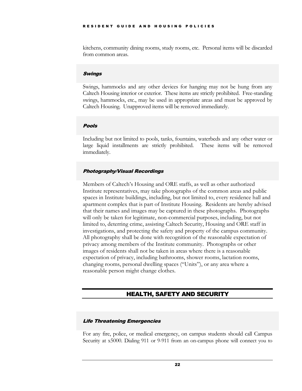kitchens, community dining rooms, study rooms, etc. Personal items will be discarded from common areas.

#### <span id="page-25-0"></span>Swings

Swings, hammocks and any other devices for hanging may not be hung from any Caltech Housing interior or exterior. These items are strictly prohibited. Free-standing swings, hammocks, etc., may be used in appropriate areas and must be approved by Caltech Housing. Unapproved items will be removed immediately.

# Pools

Including but not limited to pools, tanks, fountains, waterbeds and any other water or large liquid installments are strictly prohibited. These items will be removed immediately.

# Photography/Visual Recordings

Members of Caltech's Housing and ORE staffs, as well as other authorized Institute representatives, may take photographs of the common areas and public spaces in Institute buildings, including, but not limited to, every residence hall and apartment complex that is part of Institute Housing. Residents are hereby advised that their names and images may be captured in these photographs. Photographs will only be taken for legitimate, non-commercial purposes, including, but not limited to, deterring crime, assisting Caltech Security, Housing and ORE staff in investigations, and protecting the safety and property of the campus community. All photography shall be done with recognition of the reasonable expectation of privacy among members of the Institute community. Photographs or other images of residents shall not be taken in areas where there is a reasonable expectation of privacy, including bathrooms, shower rooms, lactation rooms, changing rooms, personal dwelling spaces ("Units"), or any area where a reasonable person might change clothes.

# HEALTH, SAFETY AND SECURITY

# <span id="page-25-2"></span><span id="page-25-1"></span>Life Threatening Emergencies

For any fire, police, or medical emergency, on campus students should call Campus Security at x5000. Dialing 911 or 9-911 from an on-campus phone will connect you to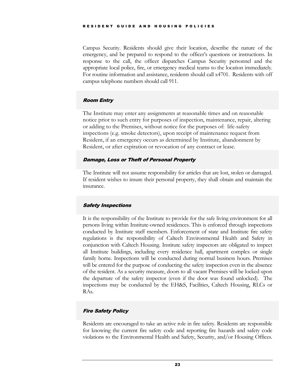Campus Security. Residents should give their location, describe the nature of the emergency, and be prepared to respond to the officer's questions or instructions. In response to the call, the officer dispatches Campus Security personnel and the appropriate local police, fire, or emergency medical teams to the location immediately. For routine information and assistance, residents should call x4701. Residents with off campus telephone numbers should call 911.

# <span id="page-26-0"></span>Room Entry

The Institute may enter any assignments at reasonable times and on reasonable notice prior to such entry for purposes of inspection, maintenance, repair, altering or adding to the Premises, without notice for the purposes of: life-safety inspections (e.g. smoke detectors), upon receipt of maintenance request from Resident, if an emergency occurs as determined by Institute, abandonment by Resident, or after expiration or revocation of any contract or lease.

# <span id="page-26-1"></span>Damage, Loss or Theft of Personal Property

The Institute will not assume responsibility for articles that are lost, stolen or damaged. If resident wishes to insure their personal property, they shall obtain and maintain the insurance.

# <span id="page-26-2"></span>Safety Inspections

It is the responsibility of the Institute to provide for the safe living environment for all persons living within Institute-owned residences. This is enforced through inspections conducted by Institute staff members. Enforcement of state and Institute fire safety regulations is the responsibility of Caltech Environmental Health and Safety in conjunction with Caltech Housing. Institute safety inspectors are obligated to inspect all Institute buildings, including every residence hall, apartment complex or single family home. Inspections will be conducted during normal business hours. Premises will be entered for the purpose of conducting the safety inspection even in the absence of the resident. As a security measure, doors to all vacant Premises will be locked upon the departure of the safety inspector (even if the door was found unlocked). The inspections may be conducted by the EH&S, Facilities, Caltech Housing, RLCs or RAs.

# <span id="page-26-3"></span>Fire Safety Policy

Residents are encouraged to take an active role in fire safety. Residents are responsible for knowing the current fire safety code and reporting fire hazards and safety code violations to the Environmental Health and Safety, Security, and/or Housing Offices.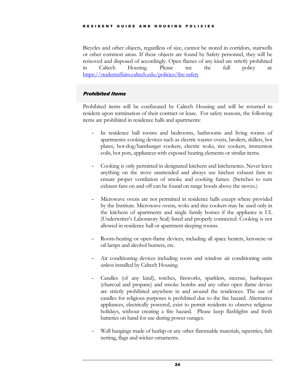Bicycles and other objects, regardless of size, cannot be stored in corridors, stairwells or other common areas. If these objects are found by Safety personnel, they will be removed and disposed of accordingly. Open flames of any kind are strictly prohibited in Caltech Housing. Please see the full policy at: <https://studentaffairs.caltech.edu/policies/fire-safety>

# <span id="page-27-0"></span>Prohibited Items

Prohibited items will be confiscated by Caltech Housing and will be returned to resident upon termination of their contract or lease. For safety reasons, the following items are prohibited in residence halls and apartments:

- In residence hall rooms and bedrooms, bathrooms and living rooms of apartments: cooking devices such as electric toaster ovens, broilers, skillets, hot plates, hot-dog/hamburger cookers, electric woks, rice cookers, immersion coils, hot pots, appliances with exposed heating elements or similar items.
- Cooking is only permitted in designated kitchens and kitchenettes. Never leave anything on the stove unattended and always use kitchen exhaust fans to ensure proper ventilation of smoke and cooking fumes. (Switches to turn exhaust fans on and off can be found on range hoods above the stoves.)
- Microwave ovens are not permitted in residence halls except where provided by the Institute. Microwave ovens, woks and rice cookers may be used only in the kitchens of apartments and single family homes if the appliance is UL (Underwriter's Laboratory Seal) listed and properly connected. Cooking is not allowed in residence hall or apartment sleeping rooms.
- Room-heating or open-flame devices, including all space heaters, kerosene or oil lamps and alcohol burners, etc.
- Air conditioning devices including room and window air conditioning units unless installed by Caltech Housing.
- Candles (of any kind), torches, fireworks, sparklers, incense, barbeques (charcoal and propane) and smoke bombs and any other open flame device are strictly prohibited anywhere in and around the residences. The use of candles for religious purposes is prohibited due to the fire hazard. Alternative appliances, electrically powered, exist to permit residents to observe religious holidays, without creating a fire hazard. Please keep flashlights and fresh batteries on hand for use during power outages.
- Wall hangings made of burlap or any other flammable materials, tapestries, fish netting, flags and wicker ornaments.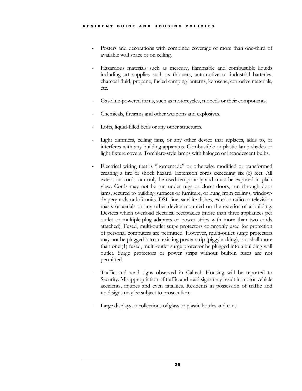- Posters and decorations with combined coverage of more than one-third of available wall space or on ceiling.
- Hazardous materials such as mercury, flammable and combustible liquids including art supplies such as thinners, automotive or industrial batteries, charcoal fluid, propane, fueled camping lanterns, kerosene, corrosive materials, etc.
- Gasoline-powered items, such as motorcycles, mopeds or their components.
- Chemicals, firearms and other weapons and explosives.
- Lofts, liquid-filled beds or any other structures.
- Light dimmers, ceiling fans, or any other device that replaces, adds to, or interferes with any building apparatus. Combustible or plastic lamp shades or light fixture covers. Torchiere-style lamps with halogen or incandescent bulbs.
- Electrical wiring that is "homemade" or otherwise modified or transformed creating a fire or shock hazard. Extension cords exceeding six (6) feet. All extension cords can only be used temporarily and must be exposed in plain view. Cords may not be run under rugs or closet doors, run through door jams, secured to building surfaces or furniture, or hung from ceilings, windowdrapery rods or loft units. DSL line, satellite dishes, exterior radio or television masts or aerials or any other device mounted on the exterior of a building. Devices which overload electrical receptacles (more than three appliances per outlet or multiple-plug adapters or power strips with more than two cords attached). Fused, multi-outlet surge protectors commonly used for protection of personal computers are permitted. However, multi-outlet surge protectors may not be plugged into an existing power strip (piggybacking), nor shall more than one (1) fused, multi-outlet surge protector be plugged into a building wall outlet. Surge protectors or power strips without built-in fuses are not permitted.
- Traffic and road signs observed in Caltech Housing will be reported to Security. Misappropriation of traffic and road signs may result in motor vehicle accidents, injuries and even fatalities. Residents in possession of traffic and road signs may be subject to prosecution.
- Large displays or collections of glass or plastic bottles and cans.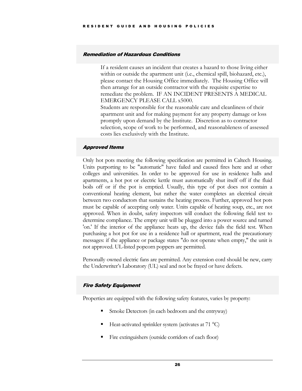#### <span id="page-29-0"></span>Remediation of Hazardous Conditions

If a resident causes an incident that creates a hazard to those living either within or outside the apartment unit (i.e., chemical spill, biohazard, etc.), please contact the Housing Office immediately. The Housing Office will then arrange for an outside contractor with the requisite expertise to remediate the problem. IF AN INCIDENT PRESENTS A MEDICAL EMERGENCY PLEASE CALL x5000.

Students are responsible for the reasonable care and cleanliness of their apartment unit and for making payment for any property damage or loss promptly upon demand by the Institute. Discretion as to contractor selection, scope of work to be performed, and reasonableness of assessed costs lies exclusively with the Institute.

# <span id="page-29-1"></span>Approved Items

Only hot pots meeting the following specification are permitted in Caltech Housing. Units purporting to be "automatic" have failed and caused fires here and at other colleges and universities. In order to be approved for use in residence halls and apartments, a hot pot or electric kettle must automatically shut itself off if the fluid boils off or if the pot is emptied. Usually, this type of pot does not contain a conventional heating element, but rather the water completes an electrical circuit between two conductors that sustains the heating process. Further, approved hot pots must be capable of accepting only water. Units capable of heating soup, etc., are not approved. When in doubt, safety inspectors will conduct the following field test to determine compliance. The empty unit will be plugged into a power source and turned 'on.' If the interior of the appliance heats up, the device fails the field test. When purchasing a hot pot for use in a residence hall or apartment, read the precautionary messages: if the appliance or package states "do not operate when empty," the unit is not approved. UL-listed popcorn poppers are permitted.

Personally owned electric fans are permitted. Any extension cord should be new, carry the Underwriter's Laboratory (UL) seal and not be frayed or have defects.

# <span id="page-29-2"></span>Fire Safety Equipment

Properties are equipped with the following safety features, varies by property:

- Smoke Detectors (in each bedroom and the entryway)
- Heat-activated sprinkler system (activates at 71 °C)
- Fire extinguishers (outside corridors of each floor)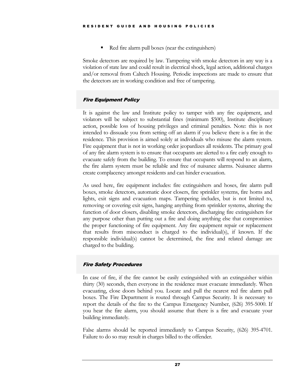Red fire alarm pull boxes (near the extinguishers)

Smoke detectors are required by law. Tampering with smoke detectors in any way is a violation of state law and could result in electrical shock, legal action, additional charges and/or removal from Caltech Housing. Periodic inspections are made to ensure that the detectors are in working condition and free of tampering.

# <span id="page-30-0"></span>Fire Equipment Policy

It is against the law and Institute policy to tamper with any fire equipment, and violators will be subject to substantial fines (minimum \$500), Institute disciplinary action, possible loss of housing privileges and criminal penalties. Note: this is not intended to dissuade you from setting off an alarm if you believe there is a fire in the residence. This provision is aimed solely at individuals who misuse the alarm system. Fire equipment that is not in working order jeopardizes all residents. The primary goal of any fire alarm system is to ensure that occupants are alerted to a fire early enough to evacuate safely from the building. To ensure that occupants will respond to an alarm, the fire alarm system must be reliable and free of nuisance alarms. Nuisance alarms create complacency amongst residents and can hinder evacuation.

As used here, fire equipment includes: fire extinguishers and hoses, fire alarm pull boxes, smoke detectors, automatic door closers, fire sprinkler systems, fire horns and lights, exit signs and evacuation maps. Tampering includes, but is not limited to, removing or covering exit signs, hanging anything from sprinkler systems, altering the function of door closers, disabling smoke detectors, discharging fire extinguishers for any purpose other than putting out a fire and doing anything else that compromises the proper functioning of fire equipment. Any fire equipment repair or replacement that results from misconduct is charged to the individual(s), if known. If the responsible individual(s) cannot be determined, the fine and related damage are charged to the building.

# <span id="page-30-1"></span>Fire Safety Procedures

In case of fire, if the fire cannot be easily extinguished with an extinguisher within thirty (30) seconds, then everyone in the residence must evacuate immediately. When evacuating, close doors behind you. Locate and pull the nearest red fire alarm pull boxes. The Fire Department is routed through Campus Security. It is necessary to report the details of the fire to the Campus Emergency Number, (626) 395-5000. If you hear the fire alarm, you should assume that there is a fire and evacuate your building immediately.

False alarms should be reported immediately to Campus Security, (626) 395-4701. Failure to do so may result in charges billed to the offender.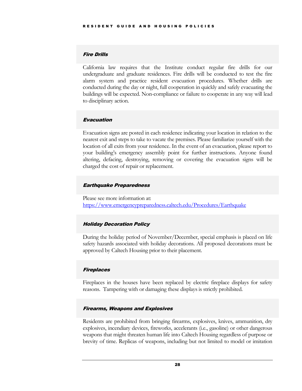# <span id="page-31-0"></span>Fire Drills

California law requires that the Institute conduct regular fire drills for our undergraduate and graduate residences. Fire drills will be conducted to test the fire alarm system and practice resident evacuation procedures. Whether drills are conducted during the day or night, full cooperation in quickly and safely evacuating the buildings will be expected. Non-compliance or failure to cooperate in any way will lead to disciplinary action.

# <span id="page-31-1"></span>Evacuation

Evacuation signs are posted in each residence indicating your location in relation to the nearest exit and steps to take to vacate the premises. Please familiarize yourself with the location of all exits from your residence. In the event of an evacuation, please report to your building's emergency assembly point for further instructions. Anyone found altering, defacing, destroying, removing or covering the evacuation signs will be charged the cost of repair or replacement.

# <span id="page-31-2"></span>Earthquake Preparedness

Please see more information at: <https://www.emergencypreparedness.caltech.edu/Procedures/Earthquake>

# <span id="page-31-3"></span>Holiday Decoration Policy

During the holiday period of November/December, special emphasis is placed on life safety hazards associated with holiday decorations. All proposed decorations must be approved by Caltech Housing prior to their placement.

# <span id="page-31-4"></span>**Fireplaces**

Fireplaces in the houses have been replaced by electric fireplace displays for safety reasons. Tampering with or damaging these displays is strictly prohibited.

# <span id="page-31-5"></span>Firearms, Weapons and Explosives

Residents are prohibited from bringing firearms, explosives, knives, ammunition, dry explosives, incendiary devices, fireworks, accelerants (i.e., gasoline) or other dangerous weapons that might threaten human life into Caltech Housing regardless of purpose or brevity of time. Replicas of weapons, including but not limited to model or imitation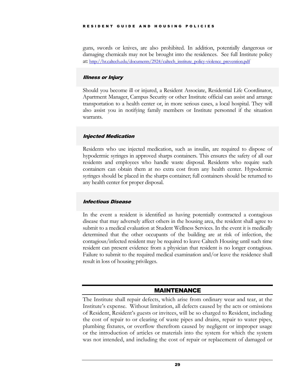#### RESIDENT GUIDE AND H OUSING POLICIES

guns, swords or knives, are also prohibited. In addition, potentially dangerous or damaging chemicals may not be brought into the residences. See full Institute policy at: [http://hr.caltech.edu/documents/2924/caltech\\_institute\\_policy-violence\\_prevention.pdf](http://hr.caltech.edu/documents/2924/caltech_institute_policy-violence_prevention.pdf)

# <span id="page-32-0"></span>Illness or Injury

Should you become ill or injured, a Resident Associate, Residential Life Coordinator, Apartment Manager, Campus Security or other Institute official can assist and arrange transportation to a health center or, in more serious cases, a local hospital. They will also assist you in notifying family members or Institute personnel if the situation warrants.

# <span id="page-32-1"></span>Injected Medication

Residents who use injected medication, such as insulin, are required to dispose of hypodermic syringes in approved sharps containers. This ensures the safety of all our residents and employees who handle waste disposal. Residents who require such containers can obtain them at no extra cost from any health center. Hypodermic syringes should be placed in the sharps container; full containers should be returned to any health center for proper disposal.

# <span id="page-32-2"></span>Infectious Disease

In the event a resident is identified as having potentially contracted a contagious disease that may adversely affect others in the housing area, the resident shall agree to submit to a medical evaluation at Student Wellness Services. In the event it is medically determined that the other occupants of the building are at risk of infection, the contagious/infected resident may be required to leave Caltech Housing until such time resident can present evidence from a physician that resident is no longer contagious. Failure to submit to the required medical examination and/or leave the residence shall result in loss of housing privileges.

# MAINTENANCE

<span id="page-32-3"></span>The Institute shall repair defects, which arise from ordinary wear and tear, at the Institute's expense. Without limitation, all defects caused by the acts or omissions of Resident, Resident's guests or invitees, will be so charged to Resident, including the cost of repair to or clearing of waste pipes and drains, repair to water pipes, plumbing fixtures, or overflow therefrom caused by negligent or improper usage or the introduction of articles or materials into the system for which the system was not intended, and including the cost of repair or replacement of damaged or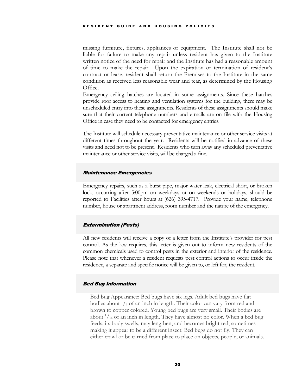missing furniture, fixtures, appliances or equipment. The Institute shall not be liable for failure to make any repair unless resident has given to the Institute written notice of the need for repair and the Institute has had a reasonable amount of time to make the repair. Upon the expiration or termination of resident's contract or lease, resident shall return the Premises to the Institute in the same condition as received less reasonable wear and tear, as determined by the Housing Office.

Emergency ceiling hatches are located in some assignments. Since these hatches provide roof access to heating and ventilation systems for the building, there may be unscheduled entry into these assignments. Residents of these assignments should make sure that their current telephone numbers and e-mails are on file with the Housing Office in case they need to be contacted for emergency entries.

The Institute will schedule necessary preventative maintenance or other service visits at different times throughout the year. Residents will be notified in advance of these visits and need not to be present. Residents who turn away any scheduled preventative maintenance or other service visits, will be charged a fine.

#### <span id="page-33-0"></span>Maintenance Emergencies

Emergency repairs, such as a burst pipe, major water leak, electrical short, or broken lock, occurring after 5:00pm on weekdays or on weekends or holidays, should be reported to Facilities after hours at (626) 395-4717. Provide your name, telephone number, house or apartment address, room number and the nature of the emergency.

# <span id="page-33-1"></span>Extermination (Pests)

All new residents will receive a copy of a letter from the Institute's provider for pest control. As the law requires, this letter is given out to inform new residents of the common chemicals used to control pests in the exterior and interior of the residence. Please note that whenever a resident requests pest control actions to occur inside the residence, a separate and specific notice will be given to, or left for, the resident.

# <span id="page-33-2"></span>Bed Bug Information

Bed bug Appearance: Bed bugs have six legs. Adult bed bugs have flat bodies about  $\frac{1}{4}$  of an inch in length. Their color can vary from red and brown to copper colored. Young bed bugs are very small. Their bodies are about  $\frac{1}{16}$  of an inch in length. They have almost no color. When a bed bug feeds, its body swells, may lengthen, and becomes bright red, sometimes making it appear to be a different insect. Bed bugs do not fly. They can either crawl or be carried from place to place on objects, people, or animals.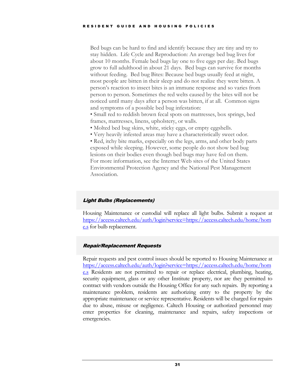Bed bugs can be hard to find and identify because they are tiny and try to stay hidden. Life Cycle and Reproduction: An average bed bug lives for about 10 months. Female bed bugs lay one to five eggs per day. Bed bugs grow to full adulthood in about 21 days. Bed bugs can survive for months without feeding. Bed bug Bites: Because bed bugs usually feed at night, most people are bitten in their sleep and do not realize they were bitten. A person's reaction to insect bites is an immune response and so varies from person to person. Sometimes the red welts caused by the bites will not be noticed until many days after a person was bitten, if at all. Common signs and symptoms of a possible bed bug infestation:

• Small red to reddish brown fecal spots on mattresses, box springs, bed frames, mattresses, linens, upholstery, or walls.

- Molted bed bug skins, white, sticky eggs, or empty eggshells.
- Very heavily infested areas may have a characteristically sweet odor.

• Red, itchy bite marks, especially on the legs, arms, and other body parts exposed while sleeping. However, some people do not show bed bug lesions on their bodies even though bed bugs may have fed on them. For more information, see the Internet Web sites of the United States Environmental Protection Agency and the National Pest Management Association.

# <span id="page-34-0"></span>Light Bulbs (Replacements)

Housing Maintenance or custodial will replace all light bulbs. Submit a request at [https://access.caltech.edu/auth/login?service=https://access.caltech.edu/home/hom](https://access.caltech.edu/auth/login?service=https://access.caltech.edu/home/home.s) [e.s](https://access.caltech.edu/auth/login?service=https://access.caltech.edu/home/home.s) for bulb replacement.

# <span id="page-34-1"></span>Repair/Replacement Requests

Repair requests and pest control issues should be reported to Housing Maintenance at [https://access.caltech.edu/auth/login?service=https://access.caltech.edu/home/hom](https://access.caltech.edu/auth/login?service=https://access.caltech.edu/home/home.s) [e.s](https://access.caltech.edu/auth/login?service=https://access.caltech.edu/home/home.s) Residents are not permitted to repair or replace electrical, plumbing, heating, security equipment, glass or any other Institute property, nor are they permitted to contract with vendors outside the Housing Office for any such repairs. By reporting a maintenance problem, residents are authorizing entry to the property by the appropriate maintenance or service representative. Residents will be charged for repairs due to abuse, misuse or negligence. Caltech Housing or authorized personnel may enter properties for cleaning, maintenance and repairs, safety inspections or emergencies.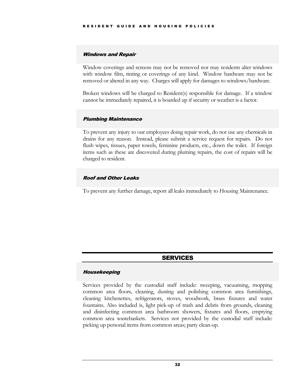#### <span id="page-35-0"></span>Windows and Repair

Window coverings and screens may not be removed nor may residents alter windows with window film, tinting or coverings of any kind. Window hardware may not be removed or altered in any way. Charges will apply for damages to windows/hardware.

Broken windows will be charged to Resident(s) responsible for damage. If a window cannot be immediately repaired, it is boarded up if security or weather is a factor.

# <span id="page-35-1"></span>Plumbing Maintenance

To prevent any injury to our employees doing repair work, do not use any chemicals in drains for any reason. Instead, please submit a service request for repairs. Do not flush wipes, tissues, paper towels, feminine products, etc., down the toilet. If foreign items such as these are discovered during pluming repairs, the cost of repairs will be charged to resident.

# <span id="page-35-2"></span>Roof and Other Leaks

To prevent any further damage, report all leaks immediately to Housing Maintenance.

# SERVICES

#### <span id="page-35-4"></span><span id="page-35-3"></span>Housekeeping

Services provided by the custodial staff include: sweeping, vacuuming, mopping common area floors, cleaning, dusting and polishing common area furnishings, cleaning kitchenettes, refrigerators, stoves, woodwork, brass fixtures and water fountains. Also included is, light pick-up of trash and debris from grounds, cleaning and disinfecting common area bathroom showers, fixtures and floors, emptying common area wastebaskets. Services not provided by the custodial staff include: picking up personal items from common areas; party clean-up.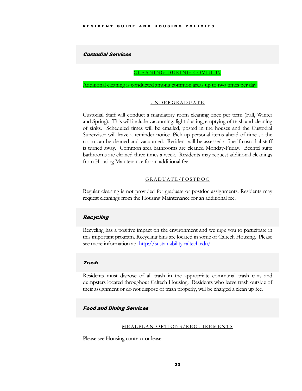# <span id="page-36-1"></span><span id="page-36-0"></span>Custodial Services

#### CLEANING DURING COVID-19

<span id="page-36-2"></span>Additional cleaning is conducted among common areas up to two times per day.

#### UNDERGRADUATE

Custodial Staff will conduct a mandatory room cleaning once per term (Fall, Winter and Spring). This will include vacuuming, light dusting, emptying of trash and cleaning of sinks. Scheduled times will be emailed, posted in the houses and the Custodial Supervisor will leave a reminder notice. Pick up personal items ahead of time so the room can be cleaned and vacuumed. Resident will be assessed a fine if custodial staff is turned away. Common area bathrooms are cleaned Monday-Friday. Bechtel suite bathrooms are cleaned three times a week. Residents may request additional cleanings from Housing Maintenance for an additional fee.

# GRADUATE/ POSTDOC

<span id="page-36-3"></span>Regular cleaning is not provided for graduate or postdoc assignments. Residents may request cleanings from the Housing Maintenance for an additional fee.

# <span id="page-36-4"></span>Recycling

Recycling has a positive impact on the environment and we urge you to participate in this important program. Recycling bins are located in some of Caltech Housing. Please see more information at:<http://sustainability.caltech.edu/>

#### <span id="page-36-5"></span>Trash

Residents must dispose of all trash in the appropriate communal trash cans and dumpsters located throughout Caltech Housing. Residents who leave trash outside of their assignment or do not dispose of trash properly, will be charged a clean up fee.

# <span id="page-36-7"></span><span id="page-36-6"></span>Food and Dining Services

#### MEALPLAN OPTIONS/REQ UIREMENTS

Please see Housing contract or lease.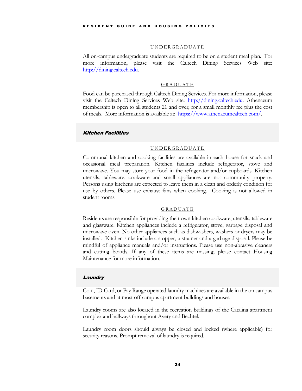#### UNDERGRADUATE

<span id="page-37-0"></span>All on-campus undergraduate students are required to be on a student meal plan. For more information, please visit the Caltech Dining Services Web site: [http://dining.caltech.edu.](http://dining.caltech.edu/)

#### GRADUATE

<span id="page-37-1"></span>Food can be purchased through Caltech Dining Services. For more information, please visit the Caltech Dining Services Web site: [http://dining.caltech.edu.](http://dining.caltech.edu/) Athenaeum membership is open to all students 21 and over, for a small monthly fee plus the cost of meals. More information is available at: [https://www.athenaeumcaltech.com/.](https://www.athenaeumcaltech.com/)

# <span id="page-37-3"></span><span id="page-37-2"></span>Kitchen Facilities

#### UNDERGRADUATE

Communal kitchen and cooking facilities are available in each house for snack and occasional meal preparation. Kitchen facilities include refrigerator, stove and microwave. You may store your food in the refrigerator and/or cupboards. Kitchen utensils, tableware, cookware and small appliances are not community property. Persons using kitchens are expected to leave them in a clean and orderly condition for use by others. Please use exhaust fans when cooking. Cooking is not allowed in student rooms.

#### GRADUATE

<span id="page-37-4"></span>Residents are responsible for providing their own kitchen cookware, utensils, tableware and glassware. Kitchen appliances include a refrigerator, stove, garbage disposal and microwave oven. No other appliances such as dishwashers, washers or dryers may be installed. Kitchen sinks include a stopper, a strainer and a garbage disposal. Please be mindful of appliance manuals and/or instructions. Please use non-abrasive cleaners and cutting boards. If any of these items are missing, please contact Housing Maintenance for more information.

#### <span id="page-37-5"></span>**Laundry**

Coin, ID Card, or Pay Range operated laundry machines are available in the on campus basements and at most off-campus apartment buildings and houses.

Laundry rooms are also located in the recreation buildings of the Catalina apartment complex and hallways throughout Avery and Bechtel.

Laundry room doors should always be closed and locked (where applicable) for security reasons. Prompt removal of laundry is required.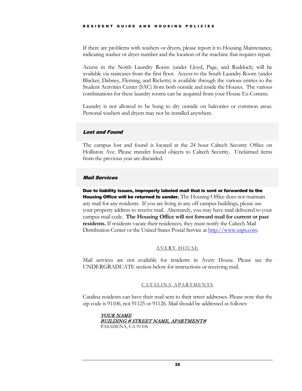If there are problems with washers or dryers, please report it to Housing Maintenance, indicating washer or dryer number and the location of the machine that requires repair.

Access in the North Laundry Room (under Lloyd, Page, and Ruddock) will be available via staircases from the first floor. Access to the South Laundry Room (under Blacker, Dabney, Fleming, and Ricketts) is available through the various entries to the Student Activities Center (SAC) from both outside and inside the Houses. The various combinations for these laundry rooms can be acquired from your House Ex-Comms.

Laundry is not allowed to be hung to dry outside on balconies or common areas. Personal washers and dryers may not be installed anywhere.

# <span id="page-38-0"></span>Lost and Found

The campus lost and found is located at the 24 hour Caltech Security Office on Holliston Ave. Please transfer found objects to Caltech Security. Unclaimed items from the previous year are discarded.

# <span id="page-38-1"></span>Mail Services

Due to liability issues, improperly labeled mail that is sent or forwarded to the Housing Office will be returned to sender. The Housing Office does not maintain any mail for any residents. If you are living in any off campus buildings, please use your property address to receive mail. Alternately, you may have mail delivered to your campus mail code. **The Housing Office will not forward mail for current or past residents.** If residents vacate their residences, they must notify the Caltech Mail Distribution Center or the United States Postal Service at [http://www.usps.com.](http://www.usps.com/)

# AVERY HOUSE

<span id="page-38-3"></span><span id="page-38-2"></span>Mail services are not available for residents in Avery House. Please see the UNDERGRADUATE section below for instructions or receiving mail.

# CATALINA APARTMENTS

Catalina residents can have their mail sent to their street addresses. Please note that the zip code is 91106, not 91125 or 91126. Mail should be addressed as follows:

#### YOUR NAME BUILDING # STREET NAME, APARTMENT# PASADENA, CA 91106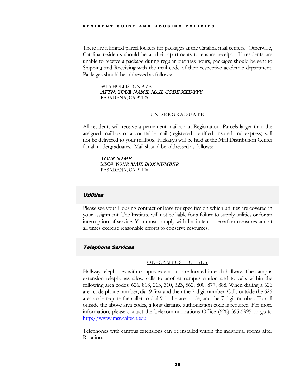There are a limited parcel lockers for packages at the Catalina mail centers. Otherwise, Catalina residents should be at their apartments to ensure receipt. If residents are unable to receive a package during regular business hours, packages should be sent to Shipping and Receiving with the mail code of their respective academic department. Packages should be addressed as follows:

391 S HOLLISTON AVE ATTN: YOUR NAME, MAIL CODE XXX-YYY PASADENA, CA 91125

# UNDERGRADUATE

<span id="page-39-0"></span>All residents will receive a permanent mailbox at Registration. Parcels larger than the assigned mailbox or accountable mail (registered, certified, insured and express) will not be delivered to your mailbox. Packages will be held at the Mail Distribution Center for all undergraduates. Mail should be addressed as follows:

YOUR NAME MSC# YOUR MAIL BOX NUMBER PASADENA, CA 91126

# <span id="page-39-1"></span>**Utilities**

Please see your Housing contract or lease for specifics on which utilities are covered in your assignment. The Institute will not be liable for a failure to supply utilities or for an interruption of service. You must comply with Institute conservation measures and at all times exercise reasonable efforts to conserve resources.

# <span id="page-39-3"></span><span id="page-39-2"></span>Telephone Services

#### ON-CAMPUS HOUSES

Hallway telephones with campus extensions are located in each hallway. The campus extension telephones allow calls to another campus station and to calls within the following area codes: 626, 818, 213, 310, 323, 562, 800, 877, 888. When dialing a 626 area code phone number, dial 9 first and then the 7-digit number. Calls outside the 626 area code require the caller to dial 9 1, the area code, and the 7-digit number. To call outside the above area codes, a long distance authorization code is required. For more information, please contact the Telecommunications Office (626) 395-5995 or go to [http://www.imss.caltech.edu.](http://www.imss.caltech.edu/)

Telephones with campus extensions can be installed within the individual rooms after Rotation.